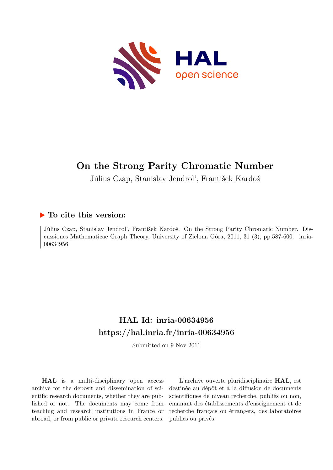

# **On the Strong Parity Chromatic Number**

Július Czap, Stanislav Jendrol', František Kardoš

### **To cite this version:**

Július Czap, Stanislav Jendrol', František Kardoš. On the Strong Parity Chromatic Number. Discussiones Mathematicae Graph Theory, University of Zielona Góra, 2011, 31 (3), pp.587-600. inria-00634956

## **HAL Id: inria-00634956 <https://hal.inria.fr/inria-00634956>**

Submitted on 9 Nov 2011

**HAL** is a multi-disciplinary open access archive for the deposit and dissemination of scientific research documents, whether they are published or not. The documents may come from teaching and research institutions in France or abroad, or from public or private research centers.

L'archive ouverte pluridisciplinaire **HAL**, est destinée au dépôt et à la diffusion de documents scientifiques de niveau recherche, publiés ou non, émanant des établissements d'enseignement et de recherche français ou étrangers, des laboratoires publics ou privés.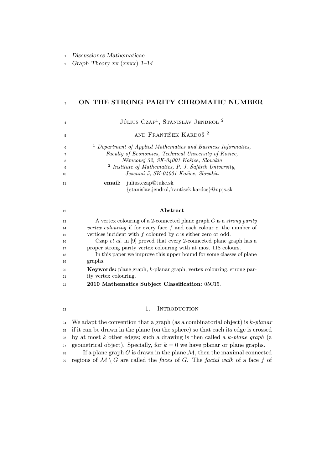Discussiones Mathematicae

2 Graph Theory xx  $(xxxx)$  1–14

#### 3 ON THE STRONG PARITY CHROMATIC NUMBER

Július Czap<sup>1</sup>, Stanislav Jendroľ<sup>2</sup> and František Kardoš <sup>2</sup> *Department of Applied Mathematics and Business Informatics, Faculty of Economics, Technical University of Košice, Němcovej 32, SK-04001 Košice, Slovakia* 2 *Institute of Mathematics, P. J. Šafárik University, Jesenná 5, SK-04001 Košice, Slovakia* email: julius.czap@tuke.sk {stanislav.jendrol,frantisek.kardos}@upjs.sk 

#### Abstract

 A vertex colouring of a 2-connected plane graph G is a *strong parity vertex colouring* if for every face f and each colour c, the number of 15 vertices incident with  $f$  coloured by  $c$  is either zero or odd. Czap *et al.* in [9] proved that every 2-connected plane graph has a proper strong parity vertex colouring with at most 118 colours. In this paper we improve this upper bound for some classes of plane graphs. Keywords: plane graph, k-planar graph, vertex colouring, strong par- ity vertex colouring. 2010 Mathematics Subject Classification: 05C15.

#### <sup>23</sup> 1. INTRODUCTION

 We adapt the convention that a graph (as a combinatorial object) is k*-planar* if it can be drawn in the plane (on the sphere) so that each its edge is crossed by at most k other edges; such a drawing is then called a k*-plane graph* (a 27 geometrical object). Specially, for  $k = 0$  we have planar or plane graphs. 28 If a plane graph G is drawn in the plane  $\mathcal{M}$ , then the maximal connected 29 regions of  $\mathcal{M} \setminus G$  are called the *faces* of G. The *facial walk* of a face f of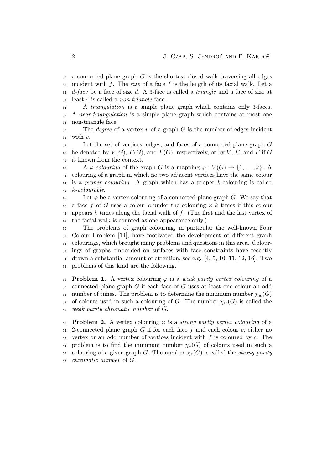a connected plane graph G is the shortest closed walk traversing all edges incident with f. The *size* of a face f is the length of its facial walk. Let a d*-face* be a face of size d. A 3-face is called a *triangle* and a face of size at least 4 is called a *non-triangle* face.

 A *triangulation* is a simple plane graph which contains only 3-faces. A *near-triangulation* is a simple plane graph which contains at most one non-triangle face.

 The *degree* of a vertex v of a graph G is the number of edges incident with  $v$ .

 Let the set of vertices, edges, and faces of a connected plane graph G 40 be denoted by  $V(G)$ ,  $E(G)$ , and  $F(G)$ , respectively, or by V, E, and F if G is known from the context.

42 A k-colouring of the graph G is a mapping  $\varphi: V(G) \to \{1, \ldots, k\}$ . A colouring of a graph in which no two adjacent vertices have the same colour is a *proper colouring*. A graph which has a proper k-colouring is called k*-colourable*.

 $\frac{46}{46}$  Let  $\varphi$  be a vertex colouring of a connected plane graph G. We say that 47 a face f of G uses a colour c under the colouring  $\varphi$  k times if this colour 48 appears k times along the facial walk of f. (The first and the last vertex of the facial walk is counted as one appearance only.)

 The problems of graph colouring, in particular the well-known Four Colour Problem [14], have motivated the development of different graph colourings, which brought many problems and questions in this area. Colour- ings of graphs embedded on surfaces with face constraints have recently drawn a substantial amount of attention, see e.g. [4, 5, 10, 11, 12, 16]. Two problems of this kind are the following.

56 **Problem 1.** A vertex colouring  $\varphi$  is a *weak parity vertex colouring* of a connected plane graph G if each face of G uses at least one colour an odd 58 number of times. The problem is to determine the minimum number  $\chi_w(G)$ 59 of colours used in such a colouring of G. The number  $\chi_w(G)$  is called the *weak parity chromatic number* of G.

61 **Problem 2.** A vertex colouring  $\varphi$  is a *strong parity vertex colouring* of a -connected plane graph G if for each face f and each colour c, either no  $\epsilon_{\rm s}$  vertex or an odd number of vertices incident with f is coloured by c. The 64 problem is to find the minimum number  $\chi_s(G)$  of colours used in such a 65 colouring of a given graph G. The number  $\chi_s(G)$  is called the *strong parity chromatic number* of G.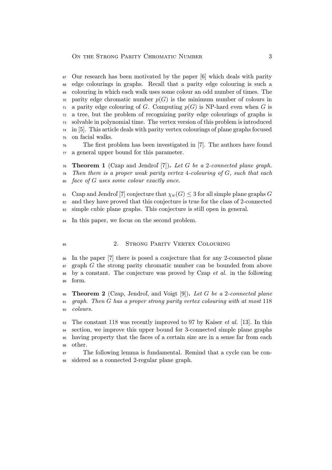Our research has been motivated by the paper [6] which deals with parity edge colourings in graphs. Recall that a parity edge colouring is such a colouring in which each walk uses some colour an odd number of times. The  $\tau$ <sup>0</sup> parity edge chromatic number  $p(G)$  is the minimum number of colours in a parity edge colouring of G. Computing  $p(G)$  is NP-hard even when G is a tree, but the problem of recognizing parity edge colourings of graphs is solvable in polynomial time. The vertex version of this problem is introduced in [5]. This article deals with parity vertex colourings of plane graphs focused on facial walks.

 The first problem has been investigated in [7]. The authors have found a general upper bound for this parameter.

 Theorem 1 (Czap and Jendroľ [7]). *Let* G *be a* 2*-connected plane graph. Then there is a proper weak parity vertex* 4*-colouring of* G*, such that each face of* G *uses some colour exactly once.*

81 Czap and Jendroľ [7] conjecture that  $\chi_w(G) \leq 3$  for all simple plane graphs G and they have proved that this conjecture is true for the class of 2-connected simple cubic plane graphs. This conjecture is still open in general.

In this paper, we focus on the second problem.

#### 85 2. STRONG PARITY VERTEX COLOURING

 In the paper [7] there is posed a conjecture that for any 2-connected plane  $graph G$  the strong parity chromatic number can be bounded from above by a constant. The conjecture was proved by Czap *et al.* in the following form.

 Theorem 2 (Czap, Jendroľ, and Voigt [9]). *Let* G *be a* 2*-connected plane graph. Then* G *has a proper strong parity vertex colouring with at most* 118 *colours.*

 The constant 118 was recently improved to 97 by Kaiser *et al.* [13]. In this section, we improve this upper bound for 3-connected simple plane graphs having property that the faces of a certain size are in a sense far from each other.

 The following lemma is fundamental. Remind that a cycle can be con-sidered as a connected 2-regular plane graph.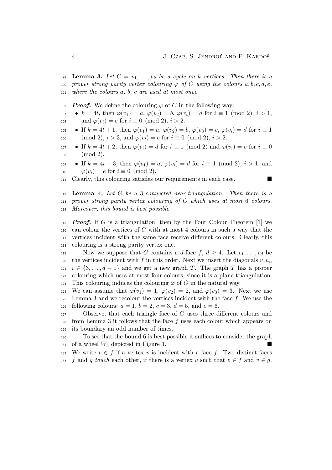99 **Lemma 3.** Let  $C = v_1, \ldots, v_k$  be a cycle on k vertices. Then there is a 100 *proper strong parity vertex colouring*  $\varphi$  *of* C *using the colours*  $a, b, c, d, e$ , <sup>101</sup> *where the colours* a*,* b*,* c *are used at most once.*

102 **Proof.** We define the colouring  $\varphi$  of C in the following way:

- 103  $k = 4t$ , then  $\varphi(v_1) = a, \varphi(v_2) = b, \varphi(v_i) = d$  for  $i \equiv 1 \pmod{2}$ ,  $i > 1$ , 104 and  $\varphi(v_i) = e$  for  $i \equiv 0 \pmod{2}$ ,  $i > 2$ .
- 105 If  $k = 4t + 1$ , then  $\varphi(v_1) = a, \varphi(v_2) = b, \varphi(v_3) = c, \varphi(v_i) = d$  for  $i \equiv 1$ 106 (mod 2),  $i > 3$ , and  $\varphi(v_i) = e$  for  $i \equiv 0 \pmod{2}$ ,  $i > 2$ .
- 107 If  $k = 4t + 2$ , then  $\varphi(v_i) = d$  for  $i \equiv 1 \pmod{2}$  and  $\varphi(v_i) = e$  for  $i \equiv 0$ <sup>108</sup> (mod 2).
- 109 If  $k = 4t + 3$ , then  $\varphi(v_1) = a$ ,  $\varphi(v_i) = d$  for  $i \equiv 1 \pmod{2}$ ,  $i > 1$ , and 110  $\varphi(v_i) = e$  for  $i \equiv 0 \pmod{2}$ .
- <sup>111</sup> Clearly, this colouring satisfies our requirements in each case.

<sup>112</sup> Lemma 4. *Let* G *be a* 3*-connected near-triangulation. Then there is a* <sup>113</sup> *proper strong parity vertex colouring of* G *which uses at most* 6 *colours.* <sup>114</sup> *Moreover, this bound is best possible.*

**Proof.** If G is a triangulation, then by the Four Colour Theorem [1] we can colour the vertices of G with at most 4 colours in such a way that the vertices incident with the same face receive different colours. Clearly, this colouring is a strong parity vertex one.

119 Now we suppose that G contains a d-face  $f, d \geq 4$ . Let  $v_1, \ldots, v_d$  be 120 the vertices incident with f in this order. Next we insert the diagonals  $v_1v_i$ , 121  $i \in \{3, \ldots, d-1\}$  and we get a new graph T. The graph T has a proper <sup>122</sup> colouring which uses at most four colours, since it is a plane triangulation. 123 This colouring induces the colouring  $\varphi$  of G in the natural way.

124 We can assume that  $\varphi(v_1) = 1$ ,  $\varphi(v_2) = 2$ , and  $\varphi(v_3) = 3$ . Next we use  $125$  Lemma 3 and we recolour the vertices incident with the face f. We use the 126 following colours:  $a = 1, b = 2, c = 3, d = 5, \text{ and } e = 6.$ 

<sup>127</sup> Observe, that each triangle face of G uses three different colours and  $128$  from Lemma 3 it follows that the face f uses each colour which appears on <sup>129</sup> its boundary an odd number of times.

<sup>130</sup> To see that the bound 6 is best possible it suffices to consider the graph 131 of a wheel  $W_5$  depicted in Figure 1.

132 We write  $v \in f$  if a vertex v is incident with a face f. Two distinct faces 133 f and g *touch* each other, if there is a vertex v such that  $v \in f$  and  $v \in g$ .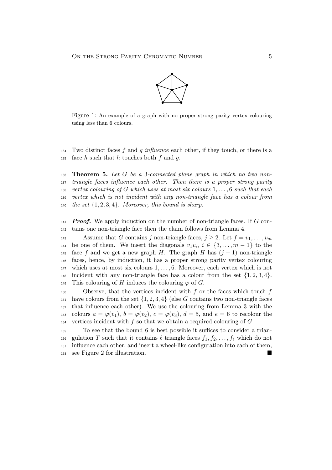

Figure 1: An example of a graph with no proper strong parity vertex colouring using less than 6 colours.

<sup>134</sup> Two distinct faces f and g *influence* each other, if they touch, or there is a 135 face h such that h touches both f and q.

 Theorem 5. *Let* G *be a* 3*-connected plane graph in which no two non- triangle faces influence each other. Then there is a proper strong parity vertex colouring of* G *which uses at most six colours* 1, . . . , 6 *such that each vertex which is not incident with any non-triangle face has a colour from the set* {1, 2, 3, 4}*. Moreover, this bound is sharp.*

 $141$  **Proof.** We apply induction on the number of non-triangle faces. If G con-<sup>142</sup> tains one non-triangle face then the claim follows from Lemma 4.

143 Assume that G contains j non-triangle faces,  $j \geq 2$ . Let  $f = v_1, \ldots, v_m$ 144 be one of them. We insert the diagonals  $v_1v_i, i \in \{3, \ldots, m-1\}$  to the 145 face f and we get a new graph H. The graph H has  $(j-1)$  non-triangle <sup>146</sup> faces, hence, by induction, it has a proper strong parity vertex colouring  $147$  which uses at most six colours  $1, \ldots, 6$ . Moreover, each vertex which is not 148 incident with any non-triangle face has a colour from the set  $\{1, 2, 3, 4\}$ . 149 This colouring of H induces the colouring  $\varphi$  of G.

150 Observe, that the vertices incident with  $f$  or the faces which touch  $f$ <sup>151</sup> have colours from the set  $\{1, 2, 3, 4\}$  (else G contains two non-triangle faces <sup>152</sup> that influence each other). We use the colouring from Lemma 3 with the 153 colours  $a = \varphi(v_1)$ ,  $b = \varphi(v_2)$ ,  $c = \varphi(v_3)$ ,  $d = 5$ , and  $e = 6$  to recolour the 154 vertices incident with  $f$  so that we obtain a required colouring of  $G$ .

 To see that the bound 6 is best possible it suffices to consider a trian-156 gulation T such that it contains  $\ell$  triangle faces  $f_1, f_2, \ldots, f_\ell$  which do not influence each other, and insert a wheel-like configuration into each of them, see Figure 2 for illustration.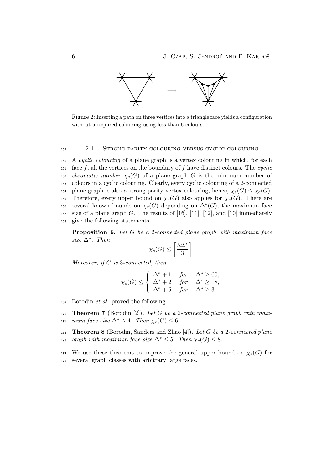

Figure 2: Inserting a path on three vertices into a triangle face yields a configuration without a required colouring using less than 6 colours.

#### <sup>159</sup> 2.1. Strong parity colouring versus cyclic colouring

<sup>160</sup> A *cyclic colouring* of a plane graph is a vertex colouring in which, for each <sup>161</sup> face f, all the vertices on the boundary of f have distinct colours. The *cyclic* 162 *chromatic number*  $\chi_c(G)$  of a plane graph G is the minimum number of <sup>163</sup> colours in a cyclic colouring. Clearly, every cyclic colouring of a 2-connected 164 plane graph is also a strong parity vertex colouring, hence,  $\chi_s(G) \leq \chi_c(G)$ . 165 Therefore, every upper bound on  $\chi_c(G)$  also applies for  $\chi_s(G)$ . There are several known bounds on  $\chi_c(G)$  depending on  $\Delta^*(G)$ , the maximum face 167 size of a plane graph G. The results of  $[16]$ ,  $[11]$ ,  $[12]$ , and  $[10]$  immediately <sup>168</sup> give the following statements.

Proposition 6. *Let* G *be a* 2*-connected plane graph with maximum face size* ∆<sup>∗</sup> *. Then*

$$
\chi_s(G) \le \left\lceil \frac{5\Delta^*}{3} \right\rceil.
$$

*Moreover, if* G *is* 3*-connected, then*

$$
\chi_s(G) \le \begin{cases} \Delta^* + 1 & \text{for} \quad \Delta^* \ge 60, \\ \Delta^* + 2 & \text{for} \quad \Delta^* \ge 18, \\ \Delta^* + 5 & \text{for} \quad \Delta^* \ge 3. \end{cases}
$$

- <sup>169</sup> Borodin *et al.* proved the following.
- <sup>170</sup> Theorem 7 (Borodin [2]). *Let* G *be a* 2*-connected plane graph with maxi-*171 *mum face size*  $\Delta^* \leq 4$ *. Then*  $\chi_c(G) \leq 6$ *.*

<sup>172</sup> Theorem 8 (Borodin, Sanders and Zhao [4]). *Let* G *be a* 2*-connected plane* 173 *graph with maximum face size*  $\Delta^* \leq 5$ *. Then*  $\chi_c(G) \leq 8$ *.* 

174 We use these theorems to improve the general upper bound on  $\chi_s(G)$  for <sup>175</sup> several graph classes with arbitrary large faces.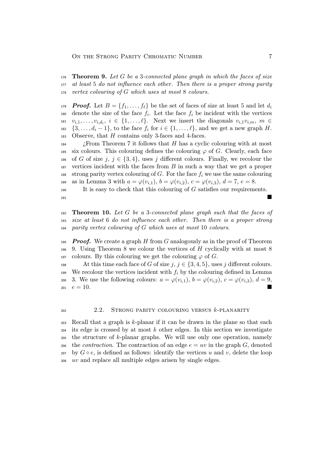<sup>176</sup> Theorem 9. *Let* G *be a* 3*-connected plane graph in which the faces of size* <sup>177</sup> *at least* 5 *do not influence each other. Then there is a proper strong parity* <sup>178</sup> *vertex colouring of* G *which uses at most* 8 *colours.*

**Proof.** Let  $B = \{f_1, \ldots, f_\ell\}$  be the set of faces of size at least 5 and let  $d_i$ 179 180 denote the size of the face  $f_i$ . Let the face  $f_i$  be incident with the vertices 181  $v_{i,1}, \ldots, v_{i,d_i}, i \in \{1, \ldots, \ell\}$ . Next we insert the diagonals  $v_{i,1}v_{i,m}, m \in$ 182  $\{3,\ldots,d_i-1\}$ , to the face  $f_i$  for  $i\in\{1,\ldots,\ell\}$ , and we get a new graph H. 183 Observe, that H contains only 3-faces and 4-faces.

<sup>184</sup> *i*. From Theorem 7 it follows that H has a cyclic colouring with at most 185 six colours. This colouring defines the colouring  $\varphi$  of G. Clearly, each face 186 of G of size j,  $j \in \{3, 4\}$ , uses j different colours. Finally, we recolour the  $187$  vertices incident with the faces from B in such a way that we get a proper 188 strong parity vertex colouring of G. For the face  $f_i$  we use the same colouring 189 as in Lemma 3 with  $a = \varphi(v_{i,1}), b = \varphi(v_{i,2}), c = \varphi(v_{i,3}), d = 7, e = 8.$ 

 $190$  It is easy to check that this colouring of G satisfies our requirements. <sup>191</sup>

<sup>192</sup> Theorem 10. *Let* G *be a* 3*-connected plane graph such that the faces of* <sup>193</sup> *size at least* 6 *do not influence each other. Then there is a proper strong* <sup>194</sup> *parity vertex colouring of* G *which uses at most* 10 *colours.*

195 **Proof.** We create a graph H from G analogously as in the proof of Theorem  $196$  9. Using Theorem 8 we colour the vertices of H cyclically with at most 8 197 colours. By this colouring we get the colouring  $\varphi$  of G.

198 At this time each face of G of size j,  $j \in \{3, 4, 5\}$ , uses j different colours. <sup>199</sup> We recolour the vertices incident with  $f_i$  by the colouring defined in Lemma 200 3. We use the following colours:  $a = \varphi(v_{i,1}), b = \varphi(v_{i,2}), c = \varphi(v_{i,3}), d = 9$ ,  $e = 10.$ 

#### <sup>202</sup> 2.2. Strong parity colouring versus k-planarity

 Recall that a graph is k-planar if it can be drawn in the plane so that each its edge is crossed by at most k other edges. In this section we investigate the structure of k-planar graphs. We will use only one operation, namely <sub>206</sub> the *contraction*. The contraction of an edge  $e = uv$  in the graph G, denoted 207 by  $G \circ e$ , is defined as follows: identify the vertices u and v, delete the loop uv and replace all multiple edges arisen by single edges.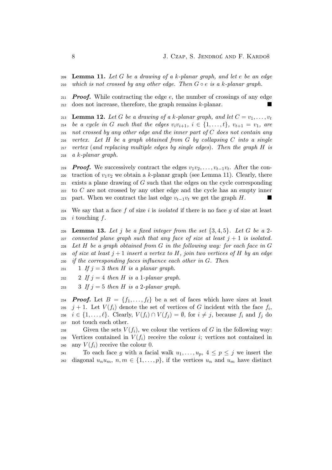<sup>209</sup> Lemma 11. *Let* G *be a drawing of a* k*-planar graph, and let* e *be an edge* <sup>210</sup> *which is not crossed by any other edge. Then* G ◦ e *is a* k*-planar graph.*

 $_{211}$  **Proof.** While contracting the edge e, the number of crossings of any edge <sup>212</sup> does not increase, therefore, the graph remains k-planar.

**Lemma 12.** Let G be a drawing of a k-planar graph, and let  $C = v_1, \ldots, v_t$ 213 *be a cycle in* G *such that the edges*  $v_i v_{i+1}$ ,  $i \in \{1, ..., t\}$ ,  $v_{t+1} = v_1$ , are *not crossed by any other edge and the inner part of* C *does not contain any vertex. Let* H *be a graph obtained from* G *by collapsing* C *into a single vertex* (*and replacing multiple edges by single edges*)*. Then the graph* H *is a* k*-planar graph.*

<sub>219</sub> **Proof.** We successively contract the edges  $v_1v_2, \ldots, v_{t-1}v_t$ . After the con-220 traction of  $v_1v_2$  we obtain a k-planar graph (see Lemma 11). Clearly, there  $221$  exists a plane drawing of G such that the edges on the cycle corresponding <sup>222</sup> to C are not crossed by any other edge and the cycle has an empty inner 223 part. When we contract the last edge  $v_{t-1}v_t$  we get the graph H.

 $224$  We say that a face f of size i is *isolated* if there is no face q of size at least 225 *i* touching  $f$ .

 Lemma 13. *Let* j *be a fixed integer from the set* {3, 4, 5}*. Let* G *be a* 2 *connected plane graph such that any face of size at least*  $j + 1$  *is isolated. Let* H *be a graph obtained from* G *in the following way: for each face in* G *of size at least*  $j + 1$  *insert a vertex to* H, *join two vertices of* H *by an edge if the corresponding faces influence each other in* G*. Then*

 $231$  1 *If*  $j = 3$  *then H is a planar graph.* 

 $2 \text{ If } j = 4 \text{ then } H \text{ is a 1-plane graph.}$ 

233 3 *If*  $j = 5$  *then H is a* 2*-planar graph.* 

**Proof.** Let  $B = \{f_1, \ldots, f_\ell\}$  be a set of faces which have sizes at least  $j+1$ . Let  $V(f_i)$  denote the set of vertices of G incident with the face  $f_i$ ,  $i \in \{1, \ldots, \ell\}$ . Clearly,  $V(f_i) \cap V(f_j) = \emptyset$ , for  $i \neq j$ , because  $f_i$  and  $f_j$  do not touch each other.

238 Given the sets  $V(f_i)$ , we colour the vertices of G in the following way: 239 Vertices contained in  $V(f_i)$  receive the colour *i*; vertices not contained in 240 any  $V(f_i)$  receive the colour 0.

241 To each face g with a facial walk  $u_1, \ldots, u_p, 4 \leq p \leq j$  we insert the <sup>242</sup> diagonal  $u_nu_m$ ,  $n,m \in \{1,\ldots,p\}$ , if the vertices  $u_n$  and  $u_m$  have distinct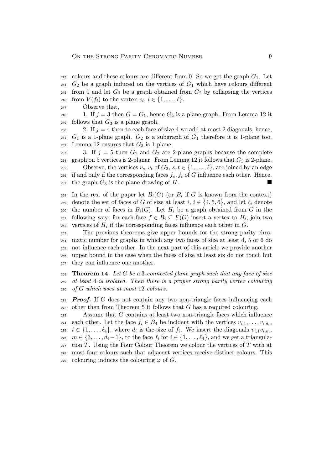- $_{243}$  colours and these colours are different from 0. So we get the graph  $G_1$ . Let <sup>244</sup>  $G_2$  be a graph induced on the vertices of  $G_1$  which have colours different  $245$  from 0 and let  $G_3$  be a graph obtained from  $G_2$  by collapsing the vertices 246 from  $V(f_i)$  to the vertex  $v_i, i \in \{1, \ldots, \ell\}.$
- <sup>247</sup> Observe that,

<sup>248</sup> 1. If  $j = 3$  then  $G = G_1$ , hence  $G_2$  is a plane graph. From Lemma 12 it 249 follows that  $G_3$  is a plane graph.

250 2. If  $j = 4$  then to each face of size 4 we add at most 2 diagonals, hence,  $251$  G<sub>1</sub> is a 1-plane graph. G<sub>2</sub> is a subgraph of G<sub>1</sub> therefore it is 1-plane too. 252 Lemma 12 ensures that  $G_3$  is 1-plane.

253 3. If  $j = 5$  then  $G_1$  and  $G_2$  are 2-plane graphs because the complete 254 graph on 5 vertices is 2-planar. From Lemma 12 it follows that  $G_3$  is 2-plane. 255 Observe, the vertices  $v_s, v_t$  of  $G_3, s, t \in \{1, ..., \ell\}$ , are joined by an edge 256 if and only if the corresponding faces  $f_s, f_t$  of G influence each other. Hence, 257 the graph  $G_3$  is the plane drawing of H.

258 In the rest of the paper let  $B_i(G)$  (or  $B_i$  if G is known from the context) 259 denote the set of faces of G of size at least  $i, i \in \{4, 5, 6\}$ , and let  $\ell_i$  denote 260 the number of faces in  $B_i(G)$ . Let  $H_i$  be a graph obtained from G in the <sup>261</sup> following way: for each face  $f \in B_i \subseteq F(G)$  insert a vertex to  $H_i$ , join two  $\alpha$ <sub>262</sub> vertices of  $H_i$  if the corresponding faces influence each other in  $G$ .

 The previous theorems give upper bounds for the strong parity chro- matic number for graphs in which any two faces of size at least 4, 5 or 6 do not influence each other. In the next part of this article we provide another upper bound in the case when the faces of size at least six do not touch but they can influence one another.

<sup>268</sup> Theorem 14. *Let* G *be a* 3*-connected plane graph such that any face of size* <sup>269</sup> *at least* 4 *is isolated. Then there is a proper strong parity vertex colouring* <sup>270</sup> *of* G *which uses at most* 12 *colours.*

 $271$  **Proof.** If G does not contain any two non-triangle faces influencing each  $272$  other then from Theorem 5 it follows that G has a required colouring.

<sup>273</sup> Assume that G contains at least two non-triangle faces which influence 274 each other. Let the face  $f_i \in B_4$  be incident with the vertices  $v_{i,1}, \ldots, v_{i,d_i}$ , <sup>275</sup>  $i \in \{1, \ldots, \ell_4\}$ , where  $d_i$  is the size of  $f_i$ . We insert the diagonals  $v_{i,1}v_{i,m}$ , 276  $m \in \{3, \ldots, d_i-1\}$ , to the face  $f_i$  for  $i \in \{1, \ldots, \ell_4\}$ , and we get a triangula- $277$  tion T. Using the Four Colour Theorem we colour the vertices of T with at <sup>278</sup> most four colours such that adjacent vertices receive distinct colours. This 279 colouring induces the colouring  $\varphi$  of G.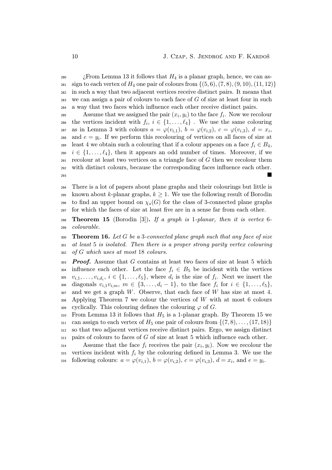*i* From Lemma 13 it follows that  $H_4$  is a planar graph, hence, we can as-281 sign to each vertex of  $H_4$  one pair of colours from  $\{(5, 6), (7, 8), (9, 10), (11, 12)\}\$  in such a way that two adjacent vertices receive distinct pairs. It means that we can assign a pair of colours to each face of G of size at least four in such a way that two faces which influence each other receive distinct pairs.

Equal 285 Assume that we assigned the pair  $(x_i, y_i)$  to the face  $f_i$ . Now we recolour 286 the vertices incident with  $f_i, i \in \{1, \ldots, \ell_4\}$ . We use the same colouring 287 as in Lemma 3 with colours  $a = \varphi(v_{i,1}), b = \varphi(v_{i,2}), c = \varphi(v_{i,3}), d = x_i$ 288 and  $e = y_i$ . If we perform this recolouring of vertices on all faces of size at 289 least 4 we obtain such a colouring that if a colour appears on a face  $f_i \in B_4$ , 290  $i \in \{1, \ldots, \ell_4\}$ , then it appears an odd number of times. Moreover, if we  $_{291}$  recolour at least two vertices on a triangle face of G then we recolour them <sup>292</sup> with distinct colours, because the corresponding faces influence each other. <sup>293</sup>

<sup>294</sup> There is a lot of papers about plane graphs and their colourings but little is 295 known about k-planar graphs,  $k \geq 1$ . We use the following result of Borodin 296 to find an upper bound on  $\chi_s(G)$  for the class of 3-connected plane graphs <sup>297</sup> for which the faces of size at least five are in a sense far from each other.

<sup>298</sup> Theorem 15 (Borodin [3]). *If a graph is* 1*-planar, then it is vertex* 6*-* <sup>299</sup> *colourable.*

<sup>300</sup> Theorem 16. *Let* G *be a* 3*-connected plane graph such that any face of size* <sup>301</sup> *at least* 5 *is isolated. Then there is a proper strong parity vertex colouring* <sup>302</sup> *of* G *which uses at most* 18 *colours.*

 $303$  **Proof.** Assume that G contains at least two faces of size at least 5 which 304 influence each other. Let the face  $f_i \in B_5$  be incident with the vertices 305  $v_{i,1}, \ldots, v_{i,d_i}, i \in \{1, \ldots, \ell_5\}$ , where  $d_i$  is the size of  $f_i$ . Next we insert the 306 diagonals  $v_{i,1}v_{i,m}, m \in \{3, ..., d_i-1\}$ , to the face  $f_i$  for  $i \in \{1, ..., \ell_5\}$ ,  $307$  and we get a graph W. Observe, that each face of W has size at most 4. <sup>308</sup> Applying Theorem 7 we colour the vertices of W with at most 6 colours 309 cyclically. This colouring defines the colouring  $\varphi$  of G.

310 From Lemma 13 it follows that  $H_5$  is a 1-planar graph. By Theorem 15 we  $\alpha_{311}$  can assign to each vertex of  $H_5$  one pair of colours from  $\{(7, 8), \ldots, (17, 18)\}\$ <sup>312</sup> so that two adjacent vertices receive distinct pairs. Ergo, we assign distinct <sup>313</sup> pairs of colours to faces of G of size at least 5 which influence each other.

 $\Delta$ 314 Assume that the face  $f_i$  receives the pair  $(x_i, y_i)$ . Now we recolour the 315 vertices incident with  $f_i$  by the colouring defined in Lemma 3. We use the 316 following colours:  $a = \varphi(v_{i,1}), b = \varphi(v_{i,2}), c = \varphi(v_{i,3}), d = x_i$ , and  $e = y_i$ .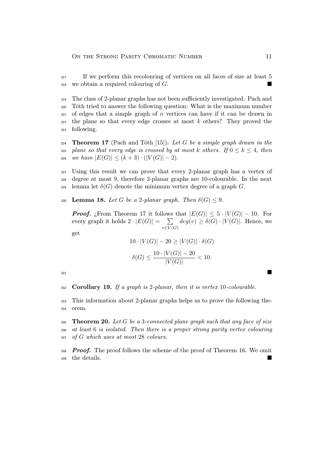If we perform this recolouring of vertices on all faces of size at least 5 we obtain a required colouring of G.

 The class of 2-planar graphs has not been sufficiently investigated. Pach and Tóth tried to answer the following question: What is the maximum number of edges that a simple graph of n vertices can have if it can be drawn in the plane so that every edge crosses at most k others? They proved the following.

 Theorem 17 (Pach and Tóth [15]). *Let* G *be a simple graph drawn in the* 325 *plane so that every edge is crossed by at most* k *others.* If  $0 \leq k \leq 4$ , *then* 326 *we have*  $|E(G)| \leq (k+3) \cdot (|V(G)| - 2)$ .

 Using this result we can prove that every 2-planar graph has a vertex of degree at most 9, therefore 2-planar graphs are 10-colourable. In the next lemma let  $\delta(G)$  denote the minimum vertex degree of a graph G.

330 **Lemma 18.** Let G be a 2-planar graph. Then  $\delta(G) \leq 9$ .

**Proof.** ¿From Theorem 17 it follows that  $|E(G)| \leq 5 \cdot |V(G)| - 10$ . For every graph it holds  $2 \cdot |E(G)| = \sum$  $v\in V(G)$  $deg(v) \geq \delta(G) \cdot |V(G)|$ . Hence, we

get

$$
10 \cdot |V(G)| - 20 \ge |V(G)| \cdot \delta(G)
$$

$$
\delta(G) \le \frac{10 \cdot |V(G)| - 20}{|V(G)|} < 10.
$$

Corollary 19. *If a graph is* 2*-planar, then it is vertex* 10*-colourable.*

 This information about 2-planar graphs helps us to prove the following the-orem.

 Theorem 20. *Let* G *be a* 3*-connected plane graph such that any face of size at least* 6 *is isolated. Then there is a proper strong parity vertex colouring of* G *which uses at most* 28 *colours.*

 **Proof.** The proof follows the scheme of the proof of Theorem 16. We omit the details.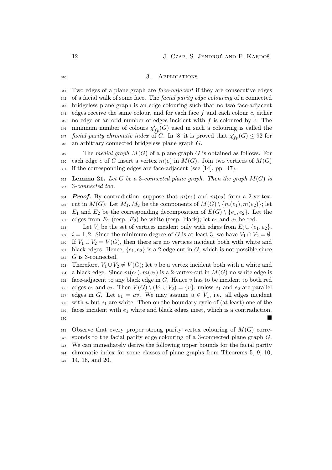#### 340 3. APPLICATIONS

 Two edges of a plane graph are *face-adjacent* if they are consecutive edges of a facial walk of some face. The *facial parity edge colouring* of a connected bridgeless plane graph is an edge colouring such that no two face-adjacent  $_{344}$  edges receive the same colour, and for each face f and each colour c, either no edge or an odd number of edges incident with f is coloured by c. The  $\text{minimum number of colours } \chi'_{fp}(G) \text{ used in such a colouring is called the }$ *facial parity chromatic index* of G. In [8] it is proved that  $\chi'_{fp}(G) \leq 92$  for an arbitrary connected bridgeless plane graph G.

<sup>349</sup> The *medial graph* M(G) of a plane graph G is obtained as follows. For 350 each edge e of G insert a vertex  $m(e)$  in  $M(G)$ . Join two vertices of  $M(G)$ <sup>351</sup> if the corresponding edges are face-adjacent (see [14], pp. 47).

<sup>352</sup> Lemma 21. *Let* G *be a* 3*-connected plane graph. Then the graph* M(G) *is* <sup>353</sup> 3*-connected too.*

354 **Proof.** By contradiction, suppose that  $m(e_1)$  and  $m(e_2)$  form a 2-vertex-355 cut in  $M(G)$ . Let  $M_1, M_2$  be the components of  $M(G) \setminus \{m(e_1), m(e_2)\}\;$  let 356  $E_1$  and  $E_2$  be the corresponding decomposition of  $E(G) \setminus \{e_1, e_2\}$ . Let the 357 edges from  $E_1$  (resp.  $E_2$ ) be white (resp. black); let  $e_1$  and  $e_2$  be red.

358 Let  $V_i$  be the set of vertices incident only with edges from  $E_i \cup \{e_1, e_2\}$ , 359  $i = 1, 2$ . Since the minimum degree of G is at least 3, we have  $V_1 \cap V_2 = \emptyset$ . 360 If  $V_1 \cup V_2 = V(G)$ , then there are no vertices incident both with white and 361 black edges. Hence,  ${e_1, e_2}$  is a 2-edge-cut in G, which is not possible since <sup>362</sup> G is 3-connected.

363 Therefore,  $V_1 \cup V_2 \neq V(G)$ ; let v be a vertex incident both with a white and 364 a black edge. Since  $m(e_1), m(e_2)$  is a 2-vertex-cut in  $M(G)$  no white edge is  $365$  face-adjacent to any black edge in G. Hence v has to be incident to both red 366 edges  $e_1$  and  $e_2$ . Then  $V(G) \setminus (V_1 \cup V_2) = \{v\}$ , unless  $e_1$  and  $e_2$  are parallel 367 edges in G. Let  $e_1 = uv$ . We may assume  $u \in V_1$ , i.e. all edges incident  $368$  with u but  $e_1$  are white. Then on the boundary cycle of (at least) one of the  $369$  faces incident with  $e_1$  white and black edges meet, which is a contradiction. <sup>370</sup>

 Observe that every proper strong parity vertex colouring of  $M(G)$  corre- sponds to the facial parity edge colouring of a 3-connected plane graph G. We can immediately derive the following upper bounds for the facial parity chromatic index for some classes of plane graphs from Theorems 5, 9, 10, 14, 16, and 20.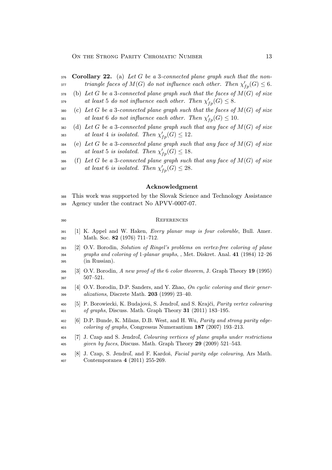- Corollary 22. (a) *Let* G *be a* 3*-connected plane graph such that the nontriangle faces of*  $M(G)$  *do not influence each other. Then*  $\chi'_{fp}(G) \leq 6$ *.*
- (b) *Let* G *be a* 3*-connected plane graph such that the faces of* M(G) *of size*  $a$ *t least* 5 *do not influence each other. Then*  $\chi'_{fp}(G) \leq 8$ *.*
- (c) *Let* G *be a* 3*-connected plane graph such that the faces of* M(G) *of size*  $a_t$  *least* 6 *do not influence each other. Then*  $\chi'_{fp}(G) \leq 10$ *.*
- (d) *Let* G *be a* 3*-connected plane graph such that any face of* M(G) *of size*  $a$ <sub>383</sub> *at least* 4 *is isolated. Then*  $\chi'_{fp}(G) \leq 12$ *.*
- (e) *Let* G *be a* 3*-connected plane graph such that any face of* M(G) *of size*  $\int$ <sup>385</sup> at least 5 *is isolated.* Then  $\chi'_{fp}(G) \leq 18$ .
- (f) *Let* G *be a* 3*-connected plane graph such that any face of* M(G) *of size*  $\begin{aligned} \textit{at least 6 is isolated. Then } \chi'_{fp}(G) \leq 28. \end{aligned}$

#### Acknowledgment

 This work was supported by the Slovak Science and Technology Assistance Agency under the contract No APVV-0007-07.

#### References

- [1] K. Appel and W. Haken, *Every planar map is four colorable*, Bull. Amer. Math. Soc. 82 (1976) 711–712.
- [2] O.V. Borodin, *Solution of Ringel's problems on vertex-free coloring of plane graphs and coloring of* 1*-planar graphs*, , Met. Diskret. Anal. 41 (1984) 12–26 (in Russian).
- [3] O.V. Borodin, *A new proof of the* 6 *color theorem*, J. Graph Theory 19 (1995) 507–521.
- [4] O.V. Borodin, D.P. Sanders, and Y. Zhao, *On cyclic coloring and their gener-alizations*, Discrete Math. 203 (1999) 23–40.
- [5] P. Borowiecki, K. Budajová, S. Jendroľ, and S. Krajči, *Parity vertex colouring of graphs*, Discuss. Math. Graph Theory 31 (2011) 183–195.
- [6] D.P. Bunde, K. Milans, D.B. West, and H. Wu, *Parity and strong parity edge-coloring of graphs*, Congressus Numerantium 187 (2007) 193–213.
- [7] J. Czap and S. Jendroľ, *Colouring vertices of plane graphs under restrictions given by faces*, Discuss. Math. Graph Theory 29 (2009) 521–543.
- [8] J. Czap, S. Jendroľ, and F. Kardoš, *Facial parity edge colouring*, Ars Math. Contemporanea 4 (2011) 255-269.